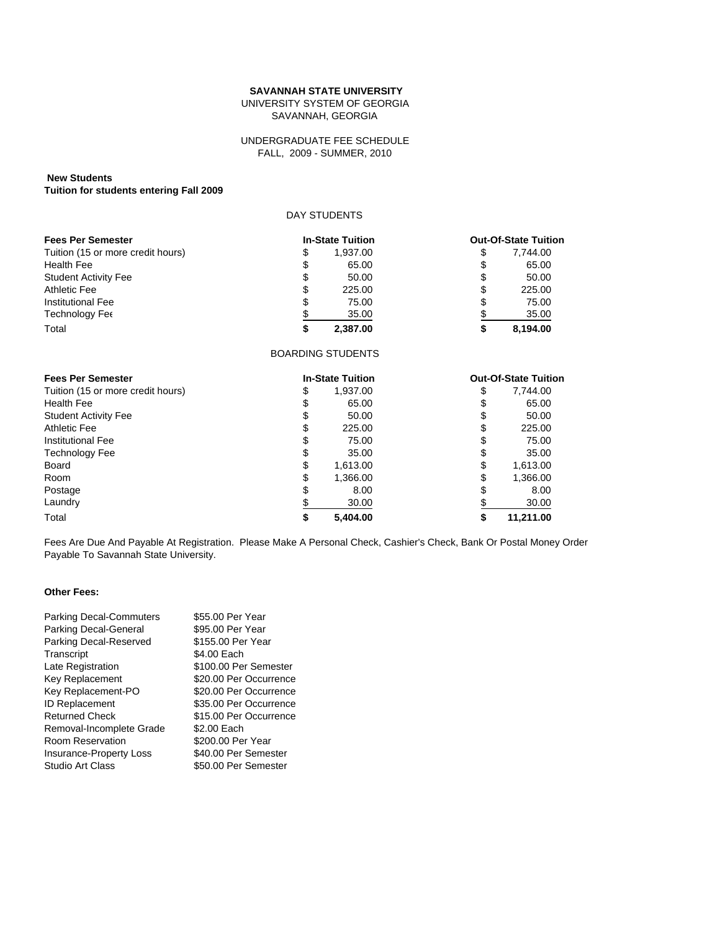### **SAVANNAH STATE UNIVERSITY**

UNIVERSITY SYSTEM OF GEORGIA SAVANNAH, GEORGIA

### FALL, 2009 - SUMMER, 2010 UNDERGRADUATE FEE SCHEDULE

# **New Students**

**Tuition for students entering Fall 2009**

### DAY STUDENTS

| <b>Fees Per Semester</b>          | <b>In-State Tuition</b> |          |    | <b>Out-Of-State Tuition</b> |
|-----------------------------------|-------------------------|----------|----|-----------------------------|
| Tuition (15 or more credit hours) | S                       | 1.937.00 |    | 7.744.00                    |
| <b>Health Fee</b>                 | \$                      | 65.00    |    | 65.00                       |
| <b>Student Activity Fee</b>       | \$                      | 50.00    | S  | 50.00                       |
| Athletic Fee                      | \$                      | 225.00   | \$ | 225.00                      |
| Institutional Fee                 | \$                      | 75.00    |    | 75.00                       |
| Technology Fee                    | \$                      | 35.00    |    | 35.00                       |
| Total                             |                         | 2.387.00 |    | 8.194.00                    |

#### BOARDING STUDENTS

| <b>Fees Per Semester</b>          |    | <b>In-State Tuition</b> |    | <b>Out-Of-State Tuition</b> |
|-----------------------------------|----|-------------------------|----|-----------------------------|
| Tuition (15 or more credit hours) | \$ | 1,937.00                | \$ | 7,744.00                    |
| <b>Health Fee</b>                 | S  | 65.00                   | S  | 65.00                       |
| <b>Student Activity Fee</b>       | S  | 50.00                   | S  | 50.00                       |
| Athletic Fee                      | S  | 225.00                  | S  | 225.00                      |
| Institutional Fee                 | S  | 75.00                   | S  | 75.00                       |
| Technology Fee                    | S  | 35.00                   | S  | 35.00                       |
| Board                             | S  | 1,613.00                | S  | 1,613.00                    |
| Room                              | S  | 1,366.00                |    | 1,366.00                    |
| Postage                           |    | 8.00                    |    | 8.00                        |
| Laundry                           |    | 30.00                   |    | 30.00                       |
| Total                             |    | 5.404.00                |    | 11.211.00                   |

Fees Are Due And Payable At Registration. Please Make A Personal Check, Cashier's Check, Bank Or Postal Money Order Payable To Savannah State University.

### **Other Fees:**

| <b>Parking Decal-Commuters</b> | \$55.00 Per Year       |
|--------------------------------|------------------------|
| Parking Decal-General          | \$95.00 Per Year       |
| Parking Decal-Reserved         | \$155.00 Per Year      |
| Transcript                     | \$4.00 Each            |
| Late Registration              | \$100.00 Per Semester  |
| Key Replacement                | \$20.00 Per Occurrence |
| Key Replacement-PO             | \$20.00 Per Occurrence |
| <b>ID Replacement</b>          | \$35.00 Per Occurrence |
| <b>Returned Check</b>          | \$15.00 Per Occurrence |
| Removal-Incomplete Grade       | \$2.00 Each            |
| Room Reservation               | \$200.00 Per Year      |
| <b>Insurance-Property Loss</b> | \$40.00 Per Semester   |
| Studio Art Class               | \$50.00 Per Semester   |